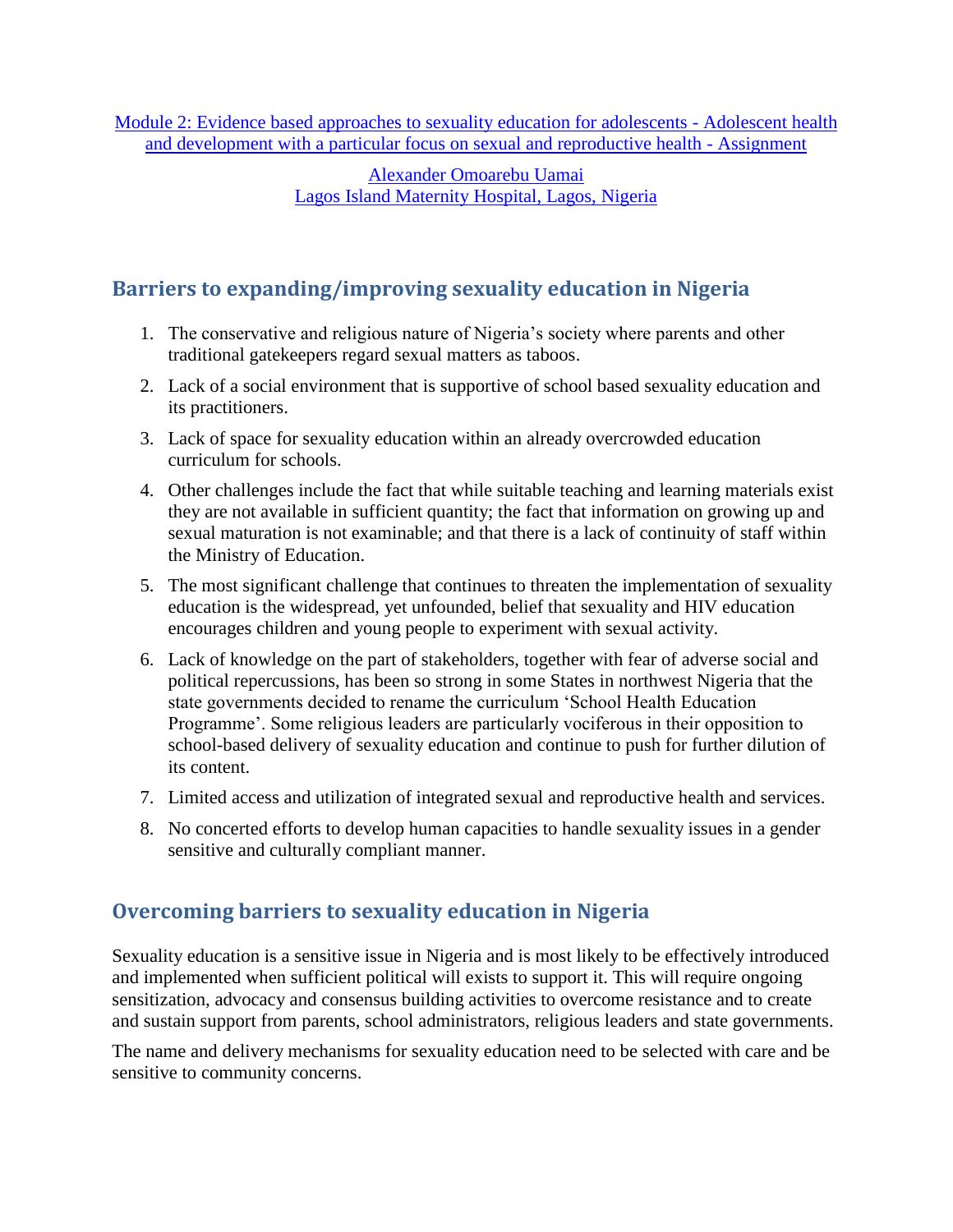[Module 2: Evidence based approaches to sexuality education for adolescents -](http://www.gfmer.ch/SRH-Course-2010/adolescent-sexual-reproductive-health/Module-2-Sexuality-education-adolescents.htm) Adolescent health [and development with a particular focus on sexual and reproductive health -](http://www.gfmer.ch/SRH-Course-2010/adolescent-sexual-reproductive-health/Module-2-Sexuality-education-adolescents.htm) Assignment

> [Alexander Omoarebu Uamai](http://www.gfmer.ch/SRH-Course-2010/participants/Uamai-Alexander-Omoarebu.htm) [Lagos Island Maternity Hospital, Lagos, Nigeria](http://www.gfmer.ch/SRH-Course-2010/participants/Uamai-Alexander-Omoarebu.htm)

## **Barriers to expanding/improving sexuality education in Nigeria**

- 1. The conservative and religious nature of Nigeria's society where parents and other traditional gatekeepers regard sexual matters as taboos.
- 2. Lack of a social environment that is supportive of school based sexuality education and its practitioners.
- 3. Lack of space for sexuality education within an already overcrowded education curriculum for schools.
- 4. Other challenges include the fact that while suitable teaching and learning materials exist they are not available in sufficient quantity; the fact that information on growing up and sexual maturation is not examinable; and that there is a lack of continuity of staff within the Ministry of Education.
- 5. The most significant challenge that continues to threaten the implementation of sexuality education is the widespread, yet unfounded, belief that sexuality and HIV education encourages children and young people to experiment with sexual activity.
- 6. Lack of knowledge on the part of stakeholders, together with fear of adverse social and political repercussions, has been so strong in some States in northwest Nigeria that the state governments decided to rename the curriculum 'School Health Education Programme'. Some religious leaders are particularly vociferous in their opposition to school-based delivery of sexuality education and continue to push for further dilution of its content.
- 7. Limited access and utilization of integrated sexual and reproductive health and services.
- 8. No concerted efforts to develop human capacities to handle sexuality issues in a gender sensitive and culturally compliant manner.

## **Overcoming barriers to sexuality education in Nigeria**

Sexuality education is a sensitive issue in Nigeria and is most likely to be effectively introduced and implemented when sufficient political will exists to support it. This will require ongoing sensitization, advocacy and consensus building activities to overcome resistance and to create and sustain support from parents, school administrators, religious leaders and state governments.

The name and delivery mechanisms for sexuality education need to be selected with care and be sensitive to community concerns.